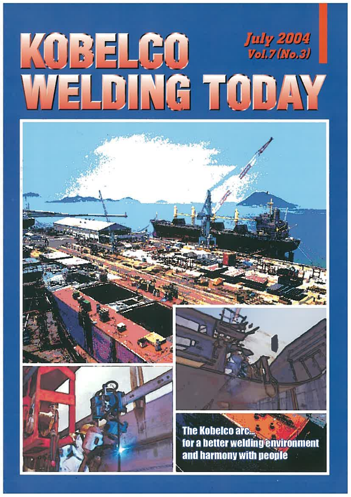# WOBELGO WARDEN







The Kobelco arc... for a better welding environment and harmony with people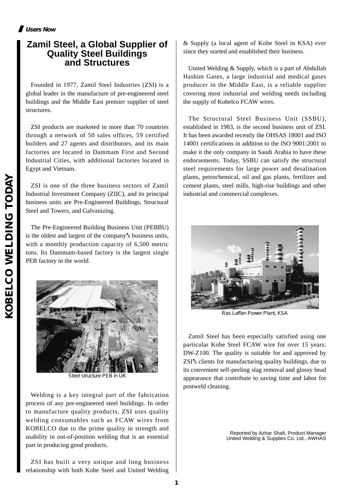**1**

# **Zamil Steel, a Global Supplier of Quality Steel Buildings and Structures**

Founded in 1977, Zamil Steel Industries (ZSI) is a global leader in the manufacture of pre-engineered steel buildings and the Middle East premier supplier of steel structures.

ZSI products are marketed in more than 70 countries through a network of 50 sales offices, 59 certified builders and 27 agents and distributors, and its main factories are located in Dammam First and Second Industrial Cities, with additional factories located in Egypt and Vietnam.

ZSI is one of the three business sectors of Zamil Industrial Investment Company (ZIIC), and its principal business units are Pre-Engineered Buildings, Structural Steel and Towers, and Galvanizing.

The Pre-Engineered Building Business Unit (PEBBU) is the oldest and largest of the company**'**s business units, with a monthly production capacity of 6,500 metric tons. Its Dammam-based factory is the largest single PEB factory in the world.



United Welding & Supply, which is a part of Abdullah Hashim Gases, a large industrial and medical gases producer in the Middle East, is a reliable supplier covering most industrial and welding needs including the supply of Kobelco FCAW wires.

The Structural Steel Business Unit (SSBU), established in 1983, is the second business unit of ZSI. It has been awarded recently the OHSAS 18001 and ISO 14001 certifications in addition to the ISO 9001:2001 to make it the only company in Saudi Arabia to have these endorsements. Today, SSBU can satisfy the structural steel requirements for large power and desalination plants, petrochemical, oil and gas plants, fertilizer and cement plants, steel mills, high-rise buildings and other industrial and commercial complexes.

Zamil Steel has been especially satisfied using one particular Kobe Steel FCAW wire for over 15 years: DW-Z100. The quality is suitable for and approved by ZSI**'**s clients for manufacturing quality buildings, due to its convenient self-peeling slag removal and glossy bead appearance that contribute to saving time and labor for postweld cleaning.

> Reported by Azhar Shafi, Product Manager United Welding & Supplies Co. Ltd., AWHAS

Welding is a key integral part of the fabrication process of any pre-engineered steel buildings. In order to manufacture quality products, ZSI uses quality welding consumables such as FCAW wires from KOBELCO due to the prime quality in strength and usability in out-of-position welding that is an essential part in producing good products.

ZSI has built a very unique and long business relationship with both Kobe Steel and United Welding





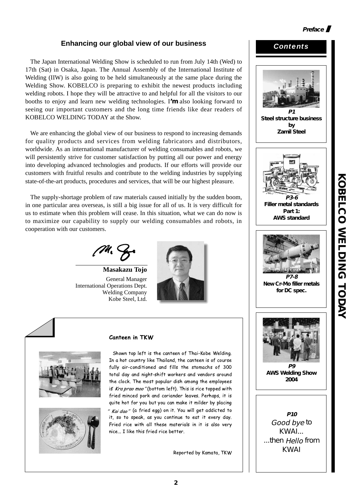#### **Enhancing our global view of our business**

The Japan International Welding Show is scheduled to run from July 14th (Wed) to 17th (Sat) in Osaka, Japan. The Annual Assembly of the International Institute of Welding (IIW) is also going to be held simultaneously at the same place during the Welding Show. KOBELCO is preparing to exhibit the newest products including welding robots. I hope they will be attractive to and helpful for all the visitors to our booths to enjoy and learn new welding technologies. I**'m** also looking forward to seeing our important customers and the long time friends like dear readers of KOBELCO WELDING TODAY at the Show.

We are enhancing the global view of our business to respond to increasing demands for quality products and services from welding fabricators and distributors, worldwide. As an international manufacturer of welding consumables and robots, we will persistently strive for customer satisfaction by putting all our power and energy into developing advanced technologies and products. If our efforts will provide our customers with fruitful results and contribute to the welding industries by supplying state-of-the-art products, procedures and services, that will be our highest pleasure.

The supply-shortage problem of raw materials caused initially by the sudden boom, in one particular area overseas, is still a big issue for all of us. It is very difficult for us to estimate when this problem will cease. In this situation, what we can do now is to maximize our capability to supply our welding consumables and robots, in cooperation with our customers.

**Masakazu Tojo** General Manager International Operations Dept. Welding Company Kobe Steel, Ltd.







#### Canteen in TKW

Shown top left is the canteen of Thai-Kobe Welding. In a hot country like Thailand, the canteen is of course fully air-conditioned and fills the stomachs of 300 total day and night-shift workers and vendors around the clock. The most popular dish among the employees is *Kra prao moo"* (bottom left). This is rice topped with fried minced pork and coriander leaves. Perhaps, it is quite hot for you but you can make it milder by placing *" Kai dao"* (a fried egg) on it. You will get addicted to it, so to speak, as you continue to eat it every day. Fried rice with all these materials in it is also very nice... I like this fried rice better.

**2**

Reported by Kamata, TKW

# **P1 Steel structure business by Zamil Steel P3-6 Filler metal standards Part 1: AWS standard P7-8 New Cr-Mo filler metals for DC spec. P9 AWS Welding Show 2004 P10** Good bye to KWAI... ...then Hello from KWAI

**KOBELCO WELDING TODAY**

**KOBELCO NELDING TODAY** 

**Preface** 

*Contents*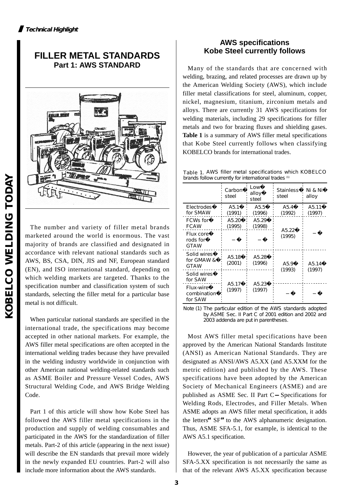## **FILLER METAL STANDARDS Part 1: AWS STANDARD**



The number and variety of filler metal brands marketed around the world is enormous. The vast majority of brands are classified and designated in accordance with relevant national standards such as AWS, BS, CSA, DIN, JIS and NF, European standard (EN), and ISO international standard, depending on which welding markets are targeted. Thanks to the specification number and classification system of such standards, selecting the filler metal for a particular base metal is not difficult.

When particular national standards are specified in the international trade, the specifications may become accepted in other national markets. For example, the AWS filler metal specifications are often accepted in the international welding trades because they have prevailed in the welding industry worldwide in conjunction with other American national welding-related standards such as ASME Boiler and Pressure Vessel Codes, AWS Structural Welding Code, and AWS Bridge Welding Code.

Part 1 of this article will show how Kobe Steel has followed the AWS filler metal specifications in the production and supply of welding consumables and participated in the AWS for the standardization of filler metals. Part-2 of this article (appearing in the next issue) will describe the EN standards that prevail more widely in the newly expanded EU countries. Part-2 will also include more information about the AWS standards.

#### **AWS specifications Kobe Steel currently follows**

Many of the standards that are concerned with welding, brazing, and related processes are drawn up by the American Welding Society (AWS), which include filler metal classifications for steel, aluminum, copper, nickel, magnesium, titanium, zirconium metals and alloys. There are currently 31 AWS specifications for welding materials, including 29 specifications for filler metals and two for brazing fluxes and shielding gases. **Table 1** is a summary of AWS filler metal specifications that Kobe Steel currently follows when classifying KOBELCO brands for international trades.

Table 1. AWS filler metal specifications which KOBELCO brands follow currently for international trades (1)

|                                             | Carbon<br>steel              | Low<br>alloy<br>steel        | <b>Stainless</b><br>steel    | Ni & Ni<br>alloy             |
|---------------------------------------------|------------------------------|------------------------------|------------------------------|------------------------------|
| Electrodes<br>for SMAW                      | A5.1<br>(1991)               | A5.5<br>(1996)               | A <sub>5.4</sub><br>(1992)   | A <sub>5</sub> .11<br>(1997) |
| <b>FCWs for</b><br><b>FCAW</b>              | A <sub>5.20</sub><br>(1995)  | A <sub>5.29</sub><br>(1998)  |                              |                              |
| <b>Flux core</b><br>rods for<br><b>GTAW</b> |                              |                              | A <sub>5</sub> .22<br>(1995) |                              |
| Solid wires<br>for GMAW&<br><b>GTAW</b>     | A5.18<br>(2001)              | A <sub>5.28</sub><br>(1996)  | A5.9                         | A <sub>5</sub> .14           |
| Solid wires<br>for SAW                      |                              |                              | (1993)                       | (1997)                       |
| Flux-wire<br>combination<br>for SAW         | A <sub>5</sub> .17<br>(1997) | A <sub>5</sub> .23<br>(1997) |                              |                              |

Note (1) The particular edition of the AWS standards adopted by ASME Sec. II Part C of 2001 edition and 2002 and 2003 addenda are put in parentheses.

Most AWS filler metal specifications have been approved by the American National Standards Institute (ANSI) as American National Standards. They are designated as ANSI/AWS A5.XX (and A5.XXM for the metric edition) and published by the AWS. These specifications have been adopted by the American Society of Mechanical Engineers (ASME) and are published as ASME Sec. II Part C Specifications for Welding Rods, Electrodes, and Filler Metals. When ASME adopts an AWS filler metal specification, it adds the letters**"**SF**"**to the AWS alphanumeric designation. Thus, ASME SFA-5.1, for example, is identical to the AWS A5.1 specification.

However, the year of publication of a particular ASME SFA-5.XX specification is not necessarily the same as that of the relevant AWS A5.XX specification because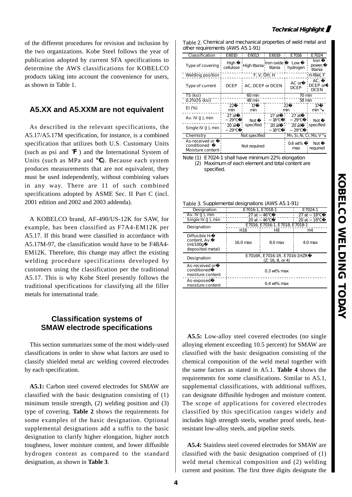of the different procedures for revision and inclusion by the two organizations. Kobe Steel follows the year of publication adopted by current SFA specifications to determine the AWS classifications for KOBELCO products taking into account the convenience for users, as shown in Table 1.

#### **A5.XX and A5.XXM are not equivalent**

As described in the relevant specifications, the A5.17/A5.17M specification, for instance, is a combined specification that utilizes both U.S. Customary Units (such as psi and  $\mathbf{F}$ ) and the International System of Units (such as MPa and ). Because each system produces measurements that are not equivalent, they must be used independently, without combining values in any way. There are 11 of such combined specifications adopted by ASME Sec. II Part C (incl. 2001 edition and 2002 and 2003 addenda).

A KOBELCO brand, AF-490/US-12K for SAW, for example, has been classified as F7A4-EM12K per A5.17. If this brand were classified in accordance with A5.17M-97, the classification would have to be F48A4- EM12K. Therefore, this change may affect the existing welding procedure specifications developed by customers using the classification per the traditional A5.17. This is why Kobe Steel presently follows the traditional specifications for classifying all the filler metals for international trade.

#### **Classification systems of SMAW electrode specifications**

This section summarizes some of the most widely-used classifications in order to show what factors are used to classify shielded metal arc welding covered electrodes by each specification.

**A5.1:** Carbon steel covered electrodes for SMAW are classified with the basic designation consisting of (1) minimum tensile strength, (2) welding position and (3) type of covering. **Table 2** shows the requirements for some examples of the basic designation. Optional supplemental designations add a suffix to the basic designation to clarify higher elongation, higher notch toughness, lower moisture content, and lower diffusible hydrogen content as compared to the standard designation, as shown in **Table 3**.

| Table 2 Chemical and mechanical properties of weld metal and |  |
|--------------------------------------------------------------|--|
| other requirements (AWS A5.1-91)                             |  |

| Classification                                    | E6010             | E6013            | E6019                 | E7016                                | E7024                     |  |
|---------------------------------------------------|-------------------|------------------|-----------------------|--------------------------------------|---------------------------|--|
| Type of covering                                  | High<br>cellulose | High titania     | Iron oxide<br>titania | Low<br>hydrogen                      | Iron<br>power,<br>titania |  |
| Welding position                                  |                   | F, V, OH, H      | H-fillet F            |                                      |                           |  |
| Type of current                                   | <b>DCEP</b>       | AC, DCEP or DCEN |                       | AC or<br><b>DCEP</b>                 | AC.<br>DCEP or<br>DCEN    |  |
| TS (ksi)                                          |                   | 60 min           |                       |                                      | 70 min                    |  |
| 0.2% OS (ksi)                                     |                   | 48 min           |                       |                                      | 58 min                    |  |
| $E1$ (%)                                          | 22<br>min         | 17<br>min        |                       | 22<br>min                            | 17<br>min $\omega$        |  |
| Av. IV (J), min                                   | 27 at<br>29       | Not              | 27at<br>18            | 27 at<br>29                          | Not                       |  |
| Single IV $(J)$ , min                             | 20 at<br>29       | specified        | 20at<br>18            | 20at<br>29                           | specified                 |  |
| Chemistry                                         |                   | Not specified    |                       | Mn, Si, Ni, Cr, Mo, V <sup>(2)</sup> |                           |  |
| As-received or<br>conditioned<br>Moisture content |                   | Not required     |                       | $0.6$ wt%<br>max                     | Not<br>required           |  |

Note (1) E7024-1 shall have minimum 22% elongation (2) Maximum of each element and total content are specified.

|                                                                            | Table 3, Supplemental designations (AWS A5.1-91) |                                                  |         |  |  |
|----------------------------------------------------------------------------|--------------------------------------------------|--------------------------------------------------|---------|--|--|
| Designation                                                                | E7016-1, E7018-1                                 |                                                  | E7024-1 |  |  |
| Av. IV (J), min                                                            | 27 at                                            | 27 at<br>18                                      |         |  |  |
| $Single IV (J)$ , min                                                      | 20 at 46                                         | 20 at<br>18                                      |         |  |  |
| Designation                                                                |                                                  | E7016, E7016-1, E7018, E7018-1                   |         |  |  |
|                                                                            | H <sub>16</sub>                                  | H8                                               | H4      |  |  |
| Diffusible H <sub>2</sub><br>content. Av.<br>(mI/100q)<br>deposited metal) | 16.0 max                                         | 8.0 max                                          | 4.0 max |  |  |
| Designation                                                                |                                                  | E7016R, E7016-1R, E7016-1HZR<br>(Z: 16, 8, or 4) |         |  |  |
| As-received or<br>conditioned<br>moisture content                          |                                                  | $0.3$ wt% max                                    |         |  |  |
| As-exposed<br>moisture content                                             |                                                  | $0.4$ wt% max                                    |         |  |  |

**A5.5:** Low-alloy steel covered electrodes (no single alloying element exceeding 10.5 percent) for SMAW are classified with the basic designation consisting of the chemical composition of the weld metal together with the same factors as stated in A5.1. **Table 4** shows the requirements for some classifications. Similar to A5.1, supplemental classifications, with additional suffixes, can designate diffusible hydrogen and moisture content. The scope of applications for covered electrodes classified by this specification ranges widely and includes high strength steels, weather proof steels, heatresistant low-alloy steels, and pipeline steels.

**A5.4:** Stainless steel covered electrodes for SMAW are classified with the basic designation comprised of (1) weld metal chemical composition and (2) welding current and position. The first three digits designate the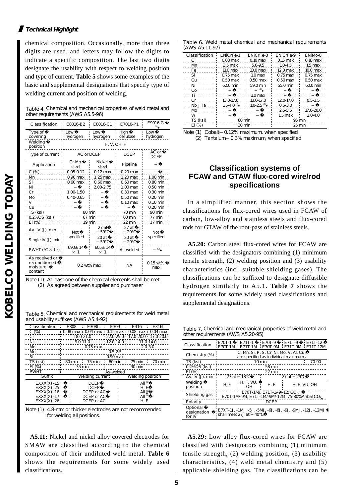#### **Technical Highlight**

chemical composition. Occasionally, more than three digits are used, and letters may follow the digits to indicate a specific composition. The last two digits designate the usability with respect to welding position and type of current. **Table 5** shows some examples of the basic and supplemental designations that specify type of welding current and position of welding.

Table 4. Chemical and mechanical properties of weld metal and other requirements (AWS A5.5-96)

| Classification                                         | E8016-B2                  | E8016-C1                   | E7010-P1              | E9016-G<br>(1)         |
|--------------------------------------------------------|---------------------------|----------------------------|-----------------------|------------------------|
| Type of<br>covering                                    | Low<br>hydrogen           | Low<br>hydrogen            | High<br>cellulose     | Low<br>hydrogen        |
| Welding<br>position                                    | F, V, OH, H               |                            |                       |                        |
| Type of current                                        | AC or DCEP                |                            | <b>DCEP</b>           | $AC$ or<br><b>DCEP</b> |
| Application                                            | Cr-Mo<br>steel            | <b>Nickel</b><br>steel     | Pipeline              |                        |
| $C(\%)$                                                | 0.05-0.12                 | $0.12 \text{ max}$         | $0.20$ max            |                        |
| Mn                                                     | $0.90$ max                | $1.25$ max                 | $1.20$ max            | 1.00 min               |
| Si                                                     | $0.60$ max                | $0.60$ max                 | $0.60$ max            | $0.80$ min             |
| Ni                                                     |                           | 2.00-2.75                  | $1.00$ max            | $0.50$ min             |
| Cr                                                     | 1.00-1.50                 |                            | $0.30$ max            | 0.30 min               |
| Mb                                                     | $0.40 - 0.65$             |                            | $0.50$ max            | $0.20$ min             |
|                                                        |                           |                            | $0.10 \,\mathrm{max}$ | $0.10$ min             |
| Cu                                                     |                           |                            |                       | $0.20$ min             |
| TS (ksi)                                               |                           | 80 min                     | 70 min                | 90 min                 |
| 0.2%OS (ksi)                                           |                           | 67 min                     | 60 min                | 77 min                 |
| EI(%)                                                  |                           | 19 min                     | 22 min                | 17 min                 |
| Av. IV (J), min                                        | Not                       | $27$ at<br>59              | 27at<br>29            | Not                    |
| Single IV $(J)$ , min                                  | specified                 | 20 at<br>59                | 20 at<br>29           | specified              |
| PWHT (<br>hr)<br>$\pmb{\times}$                        | $690+14$<br>1<br>$\times$ | $605 \pm 14$<br>$\times$ 1 | As-welded             | (2)                    |
| As received or<br>reconditioned<br>moisture<br>content |                           | $0.2$ wt% max              | <b>NA</b>             | $0.15$ wt%<br>max      |

Note (1) At least one of the chemical elements shall be met. (2) As agreed between supplier and purchaser

| Table 5. Chemical and mechanical requirements for weld metal |
|--------------------------------------------------------------|
| and usability suffixes (AWS A5.4-92)                         |

| Classification | E308   | E308L                  | E309        | E316                                         | E316L       |
|----------------|--------|------------------------|-------------|----------------------------------------------|-------------|
| $C(\%)$        |        |                        |             | 0.08 max 0.04 max 0.15 max 0.08 max 0.04 max |             |
| Cr             |        | 18.0-21.0              |             | 22.0-25.0 17.0-20.0 17.0-20.0                |             |
| Ni             |        | $9.0 - 11.0$           |             | $: 12.0 - 14.0 :$                            | 11.0-14.0   |
| Mb             |        | $0.75$ max             |             |                                              | $2.0 - 3.0$ |
| Mn             |        |                        | $0.5 - 2.5$ |                                              |             |
| Si             |        |                        | $0.90$ max  |                                              |             |
| TS (ksi)       | 80 min | 75 min                 | 80 min      | 75 min                                       | 70 min      |
| $E1$ (%)       |        | 35 min                 |             | 30 min                                       |             |
| <b>PWHT</b>    |        |                        | As-welded   |                                              |             |
| Suffix         |        | <b>Welding current</b> |             | Welding position                             |             |
| $EXXX(X) -15$  |        | <b>DCEP</b>            |             | All <sup>(1)</sup>                           |             |
| $EXXX(X) -25$  |        | <b>DCEP</b>            |             | H.F                                          |             |
| $EXXX(X) -16$  |        | DCEP or AC             |             | All <sup>(1)</sup>                           |             |
| $EXXX(X) -17$  |        | DCEP or AC             |             | All <sup>(1)</sup>                           |             |
| $EXXX(X) -26$  |        | DCEP or AC             |             | H, F                                         |             |

Note (1) 4.8-mm or thicker electrodes are not recommended for welding all positions.

**A5.11:** Nickel and nickel alloy covered electrodes for SMAW are classified according to the chemical composition of their undiluted weld metal. **Table 6** shows the requirements for some widely used classifications.

|                |  |  | Table 6. Weld metal chemical and mechanical requirements |
|----------------|--|--|----------------------------------------------------------|
| (AWS A5.11-97) |  |  |                                                          |

| Classification | <b>ENiCrFe-1</b>           | <b>ENiCrFe-3</b>           | <b>ENiCrFe-9</b> | ENiM <sub>b</sub> -8 |
|----------------|----------------------------|----------------------------|------------------|----------------------|
| c.             | $0.08$ max                 | $0.10$ max                 | $0.15$ max       | $0.10$ max           |
| Mn             | $3.5$ max                  | 5.0-9.5                    | $1.0 - 4.5$      | $1.5$ max            |
| Fe             | 11.0 <sub>max</sub>        | $10.0$ max                 | $12.0$ max       | $10.0$ max           |
| Si             | $0.75$ max                 | 1.0 <sub>max</sub>         | $0.75$ max       | $0.75$ max           |
| Cu             | $0.50$ max                 | $0.50$ max                 | $0.50$ max       | $0.50$ max           |
| Ni             | 62.0 min                   | 59.0 min                   | 55.0 min         | $600 \,\mathrm{min}$ |
| Co             |                            |                            |                  |                      |
| Τi             |                            | 1.0 <sub>max</sub>         |                  |                      |
| Cr             | 13.0-17.0                  | 13.0-17.0                  | 12.0-17.0        | $0.5 - 3.5$          |
| Nb Ta          | $1.5 - 4.0$ <sup>(1)</sup> | $1.0 - 2.5$ <sup>(2)</sup> | $0.5 - 3.0$      |                      |
| Mo             |                            |                            | 25-5.5           | 17.0-20.0            |
| w              |                            |                            | $1.5$ max        | $2.0 - 4.0$          |
| TS (ksi)       |                            | 80 min                     | 95 min           |                      |
| $E1$ (%)       |                            | 30 min                     |                  | 25 min               |
|                |                            |                            |                  |                      |

Note (1) Cobalt 0.12% maximum, when specified (2) Tantalum-0.3% maximum, when specified

#### **Classification systems of FCAW and GTAW flux-cored wire/rod specifications**

In a simplified manner, this section shows the classifications for flux-cored wires used in FCAW of carbon, low-alloy and stainless steels and flux-cored rods for GTAW of the root-pass of stainless steels.

**A5.20:** Carbon steel flux-cored wires for FCAW are classified with the designators combining (1) minimum tensile strength, (2) welding position and (3) usability characteristics (incl. suitable shielding gases). The classifications can be suffixed to designate diffusible hydrogen similarly to A5.1. **Table 7** shows the requirements for some widely used classifications and supplemental designations.

Table 7. Chemical and mechanical properties of weld metal and other requirements (AWS A5.20-95)

| E70T-1<br>E71T-1<br>E70T-9<br>E71T-9<br>∙ E 71T-12<br>Classification<br>E70T-1M E71T-1M E70T-9M E71T-9M E71T-12M<br>C, Mn, Si, P, S, Cr, Ni, Mo, V, Al, Cu<br>Chemistry (%)<br>are specified as individual maximums<br>TS (ksi)<br>70 min<br>70-90<br>0.2% OS (ksi)<br>58 min<br>$E1$ (%)<br>22 min<br>$27$ at<br>$Av. IV(J)$ , min<br>18<br>$27$ at<br>29<br>H, F, VU,<br>Welding<br>H.F<br>H.F<br>H, F, VU, OH<br>position<br>OН<br>E 70T-1/-9, E 71T-1/-9/-12: CO <sub>2</sub><br>Shielding gas<br>E70T-1M/-9M, E71T-1M/-9M/-12M: 75-80% Ar/bal CO2<br><b>DCEP</b><br>Polarity<br>Optional<br>  E7XT-1J, -1MJ, -5J, -5MJ, -6J, -8J, -9J, -9MJ, -12J, -12MJ<br>designation<br>shall meet 27J at<br>40<br>for IV |  |  |  |  |  |
|-------------------------------------------------------------------------------------------------------------------------------------------------------------------------------------------------------------------------------------------------------------------------------------------------------------------------------------------------------------------------------------------------------------------------------------------------------------------------------------------------------------------------------------------------------------------------------------------------------------------------------------------------------------------------------------------------------------------|--|--|--|--|--|
|                                                                                                                                                                                                                                                                                                                                                                                                                                                                                                                                                                                                                                                                                                                   |  |  |  |  |  |
|                                                                                                                                                                                                                                                                                                                                                                                                                                                                                                                                                                                                                                                                                                                   |  |  |  |  |  |
|                                                                                                                                                                                                                                                                                                                                                                                                                                                                                                                                                                                                                                                                                                                   |  |  |  |  |  |
|                                                                                                                                                                                                                                                                                                                                                                                                                                                                                                                                                                                                                                                                                                                   |  |  |  |  |  |
|                                                                                                                                                                                                                                                                                                                                                                                                                                                                                                                                                                                                                                                                                                                   |  |  |  |  |  |
|                                                                                                                                                                                                                                                                                                                                                                                                                                                                                                                                                                                                                                                                                                                   |  |  |  |  |  |
|                                                                                                                                                                                                                                                                                                                                                                                                                                                                                                                                                                                                                                                                                                                   |  |  |  |  |  |
|                                                                                                                                                                                                                                                                                                                                                                                                                                                                                                                                                                                                                                                                                                                   |  |  |  |  |  |
|                                                                                                                                                                                                                                                                                                                                                                                                                                                                                                                                                                                                                                                                                                                   |  |  |  |  |  |
|                                                                                                                                                                                                                                                                                                                                                                                                                                                                                                                                                                                                                                                                                                                   |  |  |  |  |  |
|                                                                                                                                                                                                                                                                                                                                                                                                                                                                                                                                                                                                                                                                                                                   |  |  |  |  |  |
|                                                                                                                                                                                                                                                                                                                                                                                                                                                                                                                                                                                                                                                                                                                   |  |  |  |  |  |
|                                                                                                                                                                                                                                                                                                                                                                                                                                                                                                                                                                                                                                                                                                                   |  |  |  |  |  |
|                                                                                                                                                                                                                                                                                                                                                                                                                                                                                                                                                                                                                                                                                                                   |  |  |  |  |  |

**A5.29:** Low alloy flux-cored wires for FCAW are classified with designators combining (1) minimum tensile strength, (2) welding position, (3) usability characteristics, (4) weld metal chemistry and (5) applicable shielding gas. The classifications can be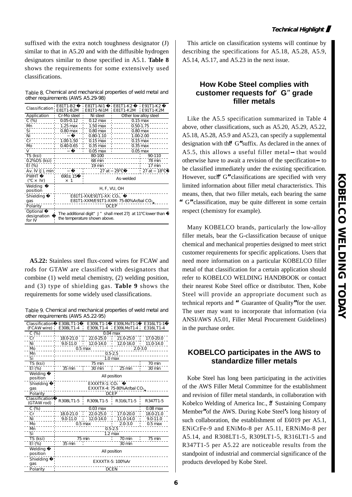suffixed with the extra notch toughness designator (J) similar to that in A5.20 and with the diffusible hydrogen designators similar to those specified in A5.1. **Table 8** shows the requirements for some extensively used classifications.

Table 8. Chemical and mechanical properties of weld metal and other requirements (AWS A5.29-98)

| Classification                    | E81T1-B2<br>E81T1-B2M | E81T1-Ni1<br>E81T1-Ni1M E81T1-K2M                                             | E81T1-K2               | <b>E91T1-K2</b><br>E91T1-K2M |  |
|-----------------------------------|-----------------------|-------------------------------------------------------------------------------|------------------------|------------------------------|--|
| Application                       | Cr-Mo steel           | Ni steel                                                                      |                        | O ther low alloy steel       |  |
| $C(\%)$                           | $0.05 - 0.12$         | $0.12 \text{ max}$                                                            |                        | $0.15 \text{ max}$           |  |
| M                                 | $1.25$ max            | $1.50 \,\mathrm{max}$                                                         |                        | $0.50 - 1.75$                |  |
| $Si-$                             | $0.80$ max            | $0.80$ max                                                                    |                        | $0.80$ max                   |  |
| Ni                                |                       | $0.80 - 1.10$                                                                 |                        | 1.00-2.00                    |  |
| Cr                                | 1.00-1.50             | $0.15 \text{ max}$                                                            | $\frac{1}{2}$ 0.15 max |                              |  |
| Mb                                | $0.40 - 0.65$         | $0.35$ max                                                                    |                        | $0.35$ max                   |  |
| v                                 |                       | $0.05$ max                                                                    |                        | $0.05$ max                   |  |
| TS (ksi)                          |                       | 80-100                                                                        |                        | 90-110                       |  |
| 0.2% OS (ksi)                     |                       | 68 min                                                                        |                        | 78 min                       |  |
| $EI$ (%)                          |                       | 19 min                                                                        |                        | 17 min                       |  |
| Av. IV (J), min¦                  |                       | 27 at 29                                                                      |                        | $\pm 27$ at 18               |  |
| <b>PWHT</b>                       | 690±15                |                                                                               | As-welded              |                              |  |
| $\times$ hr)                      | $\times$ 1            |                                                                               |                        |                              |  |
| Welding<br>position               |                       | H, F, VU, OH                                                                  |                        |                              |  |
| Shielding                         |                       | E81T1-XX E91T1-XX: CO2.                                                       |                        |                              |  |
| gas                               |                       | E81T1-XXME91T1-XXM: 75-80%Ar/bal CO2                                          |                        |                              |  |
| Polarity                          |                       |                                                                               | <b>DCEP</b>            |                              |  |
| Optional<br>designation<br>for IV |                       | The additional digit" J" shall meet 27J at 11<br>the temperature shown above. |                        | lower than                   |  |

**A5.22:** Stainless steel flux-cored wires for FCAW and rods for GTAW are classified with designators that combine (1) weld metal chemistry, (2) welding position, and (3) type of shielding gas. **Table 9** shows the requirements for some widely used classifications.

Table 9. Chemical and mechanical properties of weld metal and other requirements (AWS A5.22-95)

| Classification<br>(FCAW wire): | E308LT1-1<br>E308LT1-4   | E309LT1-1<br>E309LT1-4      | E309LMoT1-1<br>E309LMbT1-4 | E316LT1-1<br>E316LT1-4 |  |
|--------------------------------|--------------------------|-----------------------------|----------------------------|------------------------|--|
| C (%)                          |                          |                             | $0.04$ max                 |                        |  |
| Cr                             | 180-21.0                 | 22.0-25.0                   | 21.0-25.0<br>÷.            | 17.0-20.0              |  |
| Ni                             | $9.0 - 11.0$             | 12.0-14.0                   | 12.0-16.0<br>i.<br>i.      | 11.0-14.0              |  |
| Mo                             | $0.5$ max<br>$2.0 - 3.0$ |                             |                            |                        |  |
| Mn                             | $0.5 - 2.5$              |                             |                            |                        |  |
| Si                             | 1.0 <sub>max</sub>       |                             |                            |                        |  |
| TS (ksi)                       |                          | 75 min<br>70 min            |                            |                        |  |
| EI (%)                         | $35 \text{ min}$         | 30 min                      | $25 \,\mathrm{min}$        | 30 min                 |  |
| Welding<br>position            | All position             |                             |                            |                        |  |
| Shielding                      | $EXXXTX-1$ : $CO2$       |                             |                            |                        |  |
| gas                            |                          | EXXXTX-4: 75-80% Ar/bal CO2 |                            |                        |  |
| Polarity                       |                          |                             | <b>DCEP</b>                |                        |  |
|                                |                          |                             |                            |                        |  |
| Classification<br>(GTAW rod)   | R308LT1-5                | R309LT1-5                   | R316LT1-5                  | R347T1-5               |  |
| $C(\%)$                        |                          | $0.03 \text{ max}$          |                            | $0.08 \,\mathrm{max}$  |  |
| Cr                             | 18.0-21.0                | 22.0-25.0                   | 17.0-20.0<br>ĩ.            | 18.0-21.0              |  |
| Ni                             | $9.0 - 11.0$             | 12.0-14.0                   | 11.0-14.0                  | $9.0 - 11.0$           |  |
| Mb                             |                          | $0.5$ max                   | $2.0 - 3.0$                | $0.5$ max              |  |
| Mn                             |                          |                             | $0.5 - 2.5$                |                        |  |
| Si                             |                          |                             | $1.2$ max                  |                        |  |
| TS (ksi)                       |                          | $75 \text{ min}$            | 70 min                     | 75 min                 |  |
| EI (%)                         | 35 min                   |                             | 30 min                     |                        |  |
| Welding<br>position            |                          |                             | All position               |                        |  |
| Shielding<br>qas               |                          |                             | EXXXTX-5: 100%Ar           |                        |  |

This article on classification systems will continue by describing the specifications for A5.18, A5.28, A5.9, A5.14, A5.17, and A5.23 in the next issue.

#### **How Kobe Steel complies with customer requests for**"**G**"**grade filler metals**

Like the A5.5 specification summarized in Table 4 above, other classifications, such as A5.20, A5.29, A5.22, A5.18, A5.28, A5.9 and A5.23, can specify a supplemental designation with the**"**G**"**suffix. As declared in the annex of A5.5, this allows a useful filler metal that would otherwise have to await a revision of the specification to be classified immediately under the existing specification. However, such G" classifications are specified with very limited information about filler metal characteristics. This means, then, that two filler metals, each bearing the same **"**G**"**classification, may be quite different in some certain respect (chemistry for example).

Many KOBELCO brands, particularly the low-alloy filler metals, bear the G-classification because of unique chemical and mechanical properties designed to meet strict customer requirements for specific applications. Users that need more information on a particular KOBELCO filler metal of that classification for a certain application should refer to KOBELCO WELDING HANDBOOK or contact their nearest Kobe Steel office or distributor. Then, Kobe Steel will provide an appropriate document such as technical reports and **"**Guarantee of Quality**"**for the user. The user may want to incorporate that information (via ANSI/AWS A5.01, Filler Metal Procurement Guidelines) in the purchase order.

#### **KOBELCO participates in the AWS to standardize filler metals**

Kobe Steel has long been participating in the activities of the AWS Filler Metal Committee for the establishment and revision of filler metal standards, in collaboration with Kobelco Welding of America Inc., a Sustaining Company Member**"**of the AWS. During Kobe Steel**'**s long history of such collaboration, the establishment of E6019 per A5.1, ENiCrFe-9 and ENiMo-8 per A5.11, ERNiMo-8 per A5.14, and R308LT1-5, R309LT1-5, R316LT1-5 and R347T1-5 per A5.22 are noticeable results from the standpoint of industrial and commercial significance of the products developed by Kobe Steel.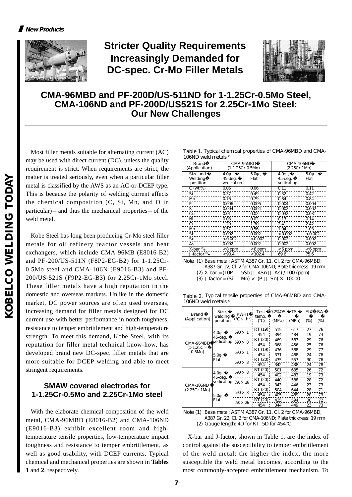

# **Stricter Quality Requirements Increasingly Demanded for DC-spec. Cr-Mo Filler Metals**



### **CMA-96MBD and PF-200D/US-511ND for 1-1.25Cr-0.5Mo Steel, CMA-106ND and PF-200D/US521S for 2.25Cr-1Mo Steel: Our New Challenges**

Most filler metals suitable for alternating current (AC) may be used with direct current (DC), unless the quality requirement is strict. When requirements are strict, the matter is treated seriously, even when a particular filler metal is classified by the AWS as an AC-or-DCEP type. This is because the polarity of welding current affects the chemical composition (C, Si, Mn, and O in particular) and thus the mechanical properties of the weld metal.

Kobe Steel has long been producing Cr-Mo steel filler metals for oil refinery reactor vessels and heat exchangers, which include CMA-96MB (E8016-B2) and PF-200/US-511N (F8P2-EG-B2) for 1-1.25Cr-0.5Mo steel and CMA-106N (E9016-B3) and PF-200/US-521S (F9P2-EG-B3) for 2.25Cr-1Mo steel. These filler metals have a high reputation in the domestic and overseas markets. Unlike in the domestic market, DC power sources are often used overseas, increasing demand for filler metals designed for DC current use with better performance in notch toughness, resistance to temper embrittlement and high-temperature strength. To meet this demand, Kobe Steel, with its reputation for filler metal technical know-how, has developed brand new DC-spec. filler metals that are more suitable for DCEP welding and able to meet stringent requirements.

#### **SMAW covered electrodes for 1-1.25Cr-0.5Mo and 2.25Cr-1Mo steel**

With the elaborate chemical composition of the weld metal, CMA-96MBD (E8016-B2) and CMA-106ND (E9016-B3) exhibit excellent room and hightemperature tensile properties, low-temperature impact toughness and resistance to temper embrittlement, as well as good usability, with DCEP currents. Typical chemical and mechanical properties are shown in **Tables 1** and **2**, respectively.

| Table 1. Typical chemical properties of CMA-96MBD and CMA-<br>106ND weld metals (1) |
|-------------------------------------------------------------------------------------|
|                                                                                     |

| <b>Brand</b><br>(Application)                              | CMA-96MBD                                                    | $(1-1.25Cr - 0.5Nb)$ | CMA-106ND<br>(2.25Cr-1Mb)     |             |  |
|------------------------------------------------------------|--------------------------------------------------------------|----------------------|-------------------------------|-------------|--|
| Size and<br>Welding<br>position                            | 4.O<br>45-deg.<br>vertical-up                                | 5.0<br>Flat          | 4.0<br>45-deg.<br>vertical-up | 5.0<br>Flat |  |
| $C(\overline{wt\%})$                                       | 0.06<br>0.06                                                 |                      | 0.11                          | 0.11        |  |
| Si                                                         | 0.37                                                         | 0.49                 | 0.32                          | 0.42        |  |
| M                                                          | 0.76                                                         | 0.79                 | 0.84                          | 0.84        |  |
| P                                                          | 0.006                                                        | 0.006                | 0.004                         | 0.004       |  |
| S.                                                         | 0.004                                                        | 0.004                | 0.002                         | 0.002       |  |
| Cu                                                         | 0.01                                                         | 0.02                 | 0.032                         | 0.031       |  |
| Νi                                                         | 0.03                                                         | 0.02                 | 0.13                          | 0.14        |  |
| Cr                                                         | 1.29                                                         | 1.30                 | 2.41                          | 2.42        |  |
| Mb                                                         | 0.57                                                         | 0.56                 | 1.04                          | 1.03        |  |
| Sb                                                         | 0.002                                                        | 0.002                | < 0.002                       | < 0.002     |  |
| Sn                                                         | < 0.002                                                      | < 0.002              | 0.002                         | 0.002       |  |
| As                                                         | 0.002                                                        | 0.002                | 0.002                         | 0.002       |  |
| X-bar $\frac{1}{2}$                                        | $< 8$ ppm                                                    | $< 8$ ppm            | $< 6$ ppm                     | $< 6$ ppm   |  |
| J-factor <sup>3</sup>                                      | < 90.4                                                       | < 102.4              | 69.6                          | 75.6        |  |
| Note (1) Base metal: ASTMA387 Gr. 11, Cl. 2 for CMA-96MBD; |                                                              |                      |                               |             |  |
| A387 Gr. 22, Cl. 2 for CMA-106ND; Plate thickness: 19 mm   |                                                              |                      |                               |             |  |
|                                                            | (2) X-bar = (10P<br>$\text{As}$ ) / 100 (ppm)<br>5S b<br>4Sn |                      |                               |             |  |
| (3) J-factor = (Si                                         |                                                              | Mn) $\times$<br>(P   | $Sn) \times 10000$            |             |  |

Table 2. Typical tensile properties of CMA-96MBD and CMA-106ND weld metals (1)

| Brand<br>(Application) | Size,<br>weldina<br>position           | <b>PWHT</b><br>hr)<br>× | Test<br>temp.  | $02%$ OS<br>(MPa) | TS<br>(MPa) | $E1^{(2)}$<br>(%) | RA<br>(%) |
|------------------------|----------------------------------------|-------------------------|----------------|-------------------|-------------|-------------------|-----------|
|                        | 4.0<br>45-deg.<br>vertical-up, 690 x 8 | $690 \times 1$          | RT (19)        | 515               | 617         | 27                | 76        |
|                        |                                        |                         | 454<br>RT (20) | 394<br>469        | 484<br>583  | 19<br>29          | 73<br>76  |
| CMA-96MBD              |                                        |                         | 454            | 368               | 456         | 25                | 76        |
| (1-1.25Cr-<br>Q5Mb)    | 5.0<br>Flat                            | $690 \times 1$          | RT (19)        | 476               | 588         | 29                | 77        |
|                        |                                        |                         | 454            | 371               | 468         | 24                | 76        |
|                        |                                        | $690 \times 8$          | RT (20)        | 435               | 557         | 30                | 76        |
|                        |                                        |                         | 454            | 342               | 438         | 24                | 78        |
|                        |                                        | $690 \times 8$          | RT (20)        | 501               | 635         | 26                | 72        |
|                        | 4.0<br>45-deg.                         |                         | 454            | 402               | 483         | 19                | 73        |
|                        | vertical-up, $690 \times 26$           |                         | RT (20)        | 440               | 588         | 28                | 72        |
| CMA-106ND              |                                        |                         | 454            | 343               | 446         | 23                | 73        |
| (2.25Cr-1Mb)           | 5.0<br>Flat                            | $690 \times 8$          | RT (20)        | 504               | 644         | 28                | 71        |
|                        |                                        |                         | 454            | 405               | 489         | 20                | 73        |
|                        |                                        | $690 \times 26$         | RT (20)        | 435               | 594         | 30                | 72        |
|                        |                                        |                         | 454            | 344               | 449         | 23                | 73        |

Note (1) Base metal: ASTM A387 Gr. 11, Cl. 2 for CMA-96MBD; A387 Gr. 22, Cl. 2 for CMA-106ND; Plate thickness: 19 mm (2) Gauge length: 4D for RT, 5D for 454

X-bar and J-factor, shown in Table 1, are the index of control against the susceptibility to temper embrittlement of the weld metal: the higher the index, the more susceptible the weld metal becomes, according to the most commonly-accepted embrittlement mechanism. To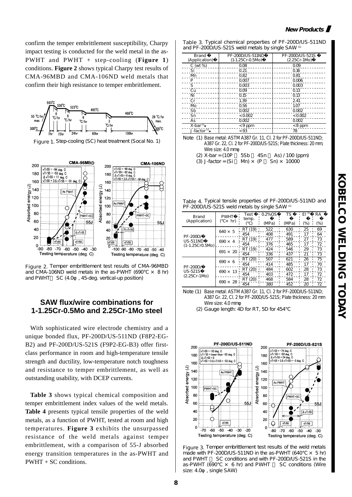confirm the temper embrittlement susceptibility, Charpy impact testing is conducted for the weld metal in the as-PWHT and PWHT + step-cooling (**Figure 1**) conditions. **Figure 2** shows typical Charpy test results of CMA-96MBD and CMA-106ND weld metals that confirm their high resistance to temper embrittlement.







Figure 2. Temper embrittlement test results of CMA-96MBD and CMA-106ND weld metals in the as-PWHT (690  $\times$  8 hr) and PWHT SC (4.0, 45-deg. vertical-up position)

#### **SAW flux/wire combinations for 1-1.25Cr-0.5Mo and 2.25Cr-1Mo steel**

With sophisticated wire electrode chemistry and a unique bonded flux, PF-200D/US-511ND (F8P2-EG-B2) and PF-200D/US-521S (F9P2-EG-B3) offer firstclass performance in room and high-temperature tensile strength and ductility, low-temperature notch toughness and resistance to temper embrittlement, as well as outstanding usability, with DCEP currents.

**Table 3** shows typical chemical composition and temper embrittlement index values of the weld metals. **Table 4** presents typical tensile properties of the weld metals, as a function of PWHT, tested at room and high temperatures. **Figure 3** exhibits the unsurpassed resistance of the weld metals against temper embrittlement, with a comparison of 55-J absorbed energy transition temperatures in the as-PWHT and PWHT + SC conditions.

| Table 3. Typical chemical properties of PF-200D/US-511ND |  |
|----------------------------------------------------------|--|
| and PF-200D $\mu$ S-521S weld metals by single SAW (1)   |  |

| Brand<br>(Application)  | PF-200DAJS-511ND<br>$(1-1.25Cr - Q.5Nb)$ | PF-200DAJS-521S<br>$(2.25Cr-1Mb)$ |  |  |
|-------------------------|------------------------------------------|-----------------------------------|--|--|
| $C$ ( $wt$ %)           | 0.08                                     | 0.09                              |  |  |
| Si                      | 0.21                                     | 0.16                              |  |  |
| Mn                      | 0.82                                     | 0.81                              |  |  |
| P                       | 0.007                                    | 0.006                             |  |  |
| s                       | 0.003                                    | 0.003                             |  |  |
| Cu                      | 0.09                                     | 0.13                              |  |  |
| Ni                      | 0.15                                     | 0.13                              |  |  |
| Cr                      | 1.39                                     | 2.41                              |  |  |
| Mo                      | 0.56                                     | 1.07                              |  |  |
| Sb                      | 0.002                                    | 0.002                             |  |  |
| Sn                      | < 0.002                                  | < 0.002                           |  |  |
| As                      | 0.002                                    | 0.002                             |  |  |
| $X$ -bar $\mathbb{Z}$   | $<$ 9 ppm                                | $< 8$ ppm                         |  |  |
| J-factor <sup>(3)</sup> | < 93                                     | 78                                |  |  |

Note (1) Base metal: ASTM A387 Gr. 11, Cl. 2 for PF-200D/US-511ND; A387 Gr. 22, Cl. 2 for PF-200D/US-521S; Plate thickness: 20 mm; Wire size:  $4.0 \text{ mm}$ <br>X-bar =  $(10P - 5Sb)$ (2)  $X$ -bar = (10P 5Sb 4Sn As) / 100 (ppm)

(3) J-factor =  $(Si$  Mn)  $\times$   $(P$  Sn)  $\times$  10000

Table 4. Typical tensile properties of PF-200D/US-511ND and PF-200D *I*US-521S weld metals by single SAW <sup>(1)</sup>

| $\frac{1}{2}$<br>---- |                    |               |        |       |            |        |  |
|-----------------------|--------------------|---------------|--------|-------|------------|--------|--|
| Brand                 | <b>PWHT</b>        | Test<br>temp. | 0.2%OS | TS    | $E1^{(2)}$ | RA     |  |
| (Application)         | $\times$ hr)       |               | (MPa)  | (MPa) | (%)        | $(\%)$ |  |
|                       | $640 \times 5$     | (19)<br>RT    | 522    | 630   | 25         | 69     |  |
| PF-200D/              |                    | 454           | 408    | 491   | 17         | 64     |  |
| <b>US-511ND</b>       | $690 \times 4$     | RT (19)       | 477    | 589   | 27         | 73     |  |
| $(1-1.25Cr0.5Nb)$     |                    | 454           | 376    | 465   | 17         | 72     |  |
|                       | $691 \times 20$    | RT (19)       | 424    | 546   | 29         | 73     |  |
|                       |                    | 454           | 336    | 437   | 21         | 73     |  |
|                       | $690 \times 6$     | RT (20)       | 507    | 621   | 26         | 75     |  |
|                       |                    | 454           | 414    | 485   | 17         | 70     |  |
| PF-200D/<br>US-521S   | $690 \times$<br>13 | RT (20)       | 484    | 602   | 28         | 73     |  |
| (2.25Cr-1Mb)          |                    | 454           | 403    | 472   | 17         | 72     |  |
|                       | $690 \times$<br>28 | RT (20)       | 468    | 584   | 28         | 72     |  |
|                       |                    | 454           | 380    | 452   | 20         | 72     |  |

Note (1) Base metal: ASTM A387 Gr. 11, Cl. 2 for PF-200D/US-511ND; A387 Gr. 22, Cl. 2 for PF-200D/US-521S; Plate thickness: 20 mm Wire size: 4.0 mm

(2) Gauge length: 4D for RT, 5D for 454



Figure 3. Temper embrittlement test results of the weld metals made with PF-200D/US-511ND in the as-PWHT (640  $\times$  5 hr) and PWHT SC conditions and with PF-200D/US-521S in the as-PWHT (690  $\times$  6 hr) and PWHT SC conditions (Wire size: 4.0 ; single SAW)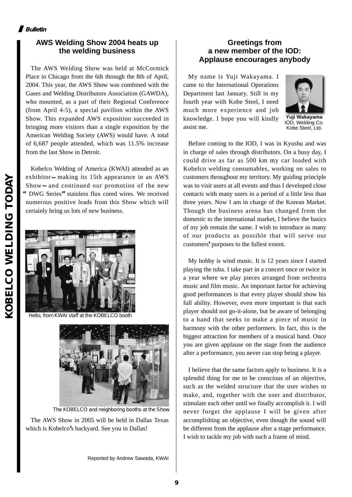#### **AWS Welding Show 2004 heats up the welding business**

The AWS Welding Show was held at McCormick Place in Chicago from the 6th through the 8th of April, 2004. This year, the AWS Show was combined with the Gases and Welding Distributors Association (GAWDA), who mounted, as a part of their Regional Conference (from April 4-5), a special pavilion within the AWS Show. This expanded AWS exposition succeeded in bringing more visitors than a single exposition by the American Welding Society (AWS) would have. A total of 6,687 people attended, which was 11.5% increase from the last Show in Detroit.

Kobelco Welding of America (KWAI) attended as an exhibitor making its 15th appearance in an AWS Show and continued our promotion of the new **"**DWG Series**"**stainless flux cored wires. We received numerous positive leads from this Show which will certainly bring us lots of new business.



Hello, from KWAI staff at the KOBELCO booth



The KOBELCO and neighboring booths at the Show

The AWS Show in 2005 will be held in Dallas Texas which is Kobelco**'**s backyard. See you in Dallas!

Reported by Andrew Sawada, KWAI

#### **Greetings from a new member of the IOD: Applause encourages anybody**

My name is Yuji Wakayama. I came to the International Operations Department last January. Still in my fourth year with Kobe Steel, I need much more experience and job knowledge. I hope you will kindly assist me.



**Yuji Wakayama** IOD, Welding Co. Kobe Steel, Ltd.

Before coming to the IOD, I was in Kyushu and was in charge of sales through distributors. On a busy day, I could drive as far as 500 km my car loaded with Kobelco welding consumables, working on sales to customers throughout my territory. My guiding principle was to visit users at all events and thus I developed close contacts with many users in a period of a little less than three years. Now I am in charge of the Korean Market. Though the business arena has changed from the domestic to the international market, I believe the basics of my job remain the same. I wish to introduce as many of our products as possible that will serve our customers**'**purposes to the fullest extent.

My hobby is wind music. It is 12 years since I started playing the tuba. I take part in a concert once or twice in a year where we play pieces arranged from orchestra music and film music. An important factor for achieving good performances is that every player should show his full ability. However, even more important is that each player should not go-it-alone, but be aware of belonging to a band that seeks to make a piece of music in harmony with the other performers. In fact, this is the biggest attraction for members of a musical band. Once you are given applause on the stage from the audience after a performance, you never can stop being a player.

I believe that the same factors apply to business. It is a splendid thing for me to be conscious of an objective, such as the welded structure that the user wishes to make, and, together with the user and distributor, stimulate each other until we finally accomplish it. I will never forget the applause I will be given after accomplishing an objective, even though the sound will be different from the applause after a stage performance. I wish to tackle my job with such a frame of mind.